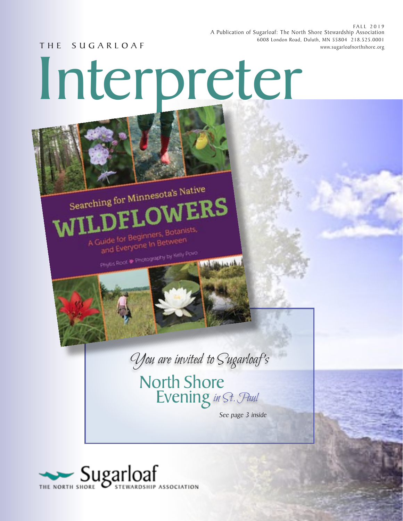FALL 2019 A Publication of Sugarloaf: The North Shore Stewardship Association 6008 London Road, Duluth, MN 55804 218.525.0001 T H E S U G A R L O A F www.sugarloafnorthshore.org

Interpreter

Searching for Minnesota's Native

A Guide for Beginners, Botanists, juide for Beginners, bowletter<br>and Everyone In Between

Phyllis Root \* Photography by Kelly Povo



WERS

North Shore<br>Evening in St. Paul

*See page 3 inside*

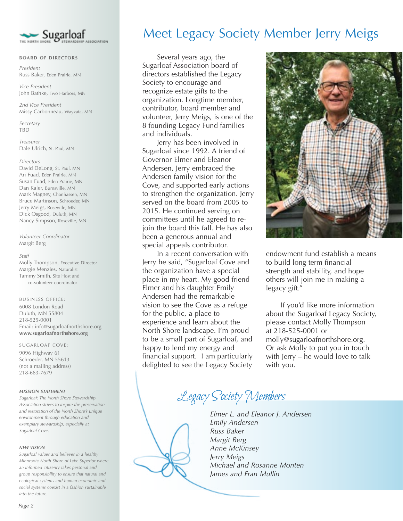

#### **BOARD OF DIRECTORS**

*President* Russ Baker, Eden Prairie, MN

*Vice President* John Bathke, Two Harbors, MN

*2nd Vice President* Missy Carbonneau, Wayzata, MN

*Secretary*  TBD

*Treasurer* Dale Ulrich, St. Paul, MN

#### *Directors*

David DeLong, St. Paul, MN Ari Fuad, Eden Prairie, MN Susan Fuad, Eden Prairie, MN Dan Kaler, Burnsville, MN Mark Magney, Chanhassen, MN Bruce Martinson, Schroeder, MN Jerry Meigs, Roseville, MN Dick Osgood, Duluth, MN Nancy Simpson, Roseville, MN

*Volunteer Coordinator*  Margit Berg

#### *Staff*

Molly Thompson, Executive Director Margie Menzies, Naturalist Tammy Smith, Site Host and co-volunteer coordinator

#### BUSINESS OFFICE:

6008 London Road Duluth, MN 55804 218-525-0001 Email: info@sugarloafnorthshore.org **www.sugarloafnorthshore.org**

#### SUGARLOAF COVE:

9096 Highway 61 Schroeder, MN 55613 (not a mailing address) 218-663-7679

#### *MISSION STATEMENT*

*Sugarloaf: The North Shore Stewardship Association strives to inspire the preservation and restoration of the North Shore's unique environment through education and exemplary stewardship, especially at Sugarloaf Cove.*

#### *NEW VISION*

*Sugarloaf values and believes in a healthy Minnesota North Shore of Lake Superior where an informed citizenry takes personal and group responsibility to ensure that natural and ecological systems and human economic and social systems coexist in a fashion sustainable into the future.*

## Meet Legacy Society Member Jerry Meigs

 Several years ago, the Sugarloaf Association board of directors established the Legacy Society to encourage and recognize estate gifts to the organization. Longtime member, contributor, board member and volunteer, Jerry Meigs, is one of the 8 founding Legacy Fund families and individuals.

 Jerry has been involved in Sugarloaf since 1992. A friend of Governor Elmer and Eleanor Andersen, Jerry embraced the Andersen family vision for the Cove, and supported early actions to strengthen the organization. Jerry served on the board from 2005 to 2015. He continued serving on committees until he agreed to rejoin the board this fall. He has also been a generous annual and special appeals contributor.

 In a recent conversation with Jerry he said, "Sugarloaf Cove and the organization have a special place in my heart. My good friend Elmer and his daughter Emily Andersen had the remarkable vision to see the Cove as a refuge for the public, a place to experience and learn about the North Shore landscape. I'm proud to be a small part of Sugarloaf, and happy to lend my energy and financial support. I am particularly delighted to see the Legacy Society



endowment fund establish a means to build long term financial strength and stability, and hope others will join me in making a legacy gift."

 If you'd like more information about the Sugarloaf Legacy Society, please contact Molly Thompson at 218-525-0001 or molly@sugarloafnorthshore.org. Or ask Molly to put you in touch with Jerry – he would love to talk with you.

Legacy Society Members

*Elmer L. and Eleanor J. Andersen Emily Andersen Russ Baker Margit Berg Anne McKinsey Jerry Meigs Michael and Rosanne Monten James and Fran Mullin*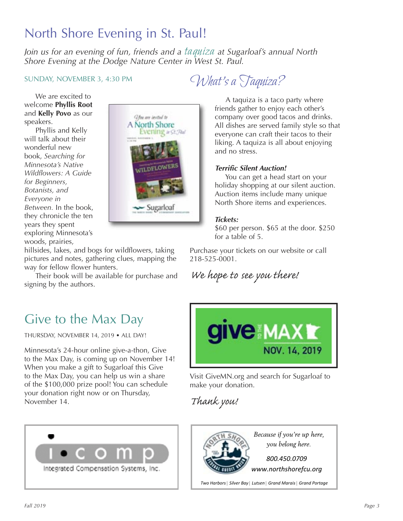# North Shore Evening in St. Paul!

*Join us for an evening of fun, friends and a* taquiza *at Sugarloaf's annual North Shore Evening at the Dodge Nature Center in West St. Paul.* 

### SUNDAY, NOVEMBER 3, 4:30 PM

What's a Taquiza?

 We are excited to welcome **Phyllis Root** and **Kelly Povo** as our speakers.

Phyllis and Kelly will talk about their wonderful new book, *Searching for Minnesota's Native Wildflowers: A Guide for Beginners, Botanists, and Everyone in Between.* In the book, they chronicle the ten years they spent exploring Minnesota's woods, prairies,



hillsides, lakes, and bogs for wildflowers, taking pictures and notes, gathering clues, mapping the way for fellow flower hunters.

 Their book will be available for purchase and signing by the authors.

 A taquiza is a taco party where friends gather to enjoy each other's company over good tacos and drinks. All dishes are served family style so that everyone can craft their tacos to their liking. A taquiza is all about enjoying and no stress.

### **Terrific Silent Auction!**

 You can get a head start on your holiday shopping at our silent auction. Auction items include many unique North Shore items and experiences.

### *Tickets:*

\$60 per person. \$65 at the door. \$250 for a table of 5.

Purchase your tickets on our website or call 218-525-0001.

We hope to see you there!

# Give to the Max Day

THURSDAY, NOVEMBER 14, 2019 • ALL DAY!

Minnesota's 24-hour online give-a-thon, Give to the Max Day, is coming up on November 14! When you make a gift to Sugarloaf this Give to the Max Day, you can help us win a share of the \$100,000 prize pool! You can schedule your donation right now or on Thursday, November 14.



Visit GiveMN.org and search for Sugarloaf to make your donation.

Thank you!





*Because if you're up here, you belong here.* 

*www.northshorefcu.org*

*Two Harbors | Silver Bay | Lutsen | Grand Marais | Grand Portage*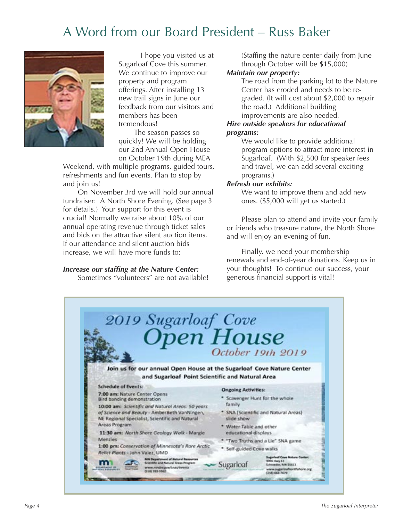# A Word from our Board President – Russ Baker



 I hope you visited us at Sugarloaf Cove this summer. We continue to improve our property and program offerings. After installing 13 new trail signs in June our feedback from our visitors and members has been tremendous!

The season passes so quickly! We will be holding our 2nd Annual Open House on October 19th during MEA

Weekend, with multiple programs, guided tours, refreshments and fun events. Plan to stop by and join us!

 On November 3rd we will hold our annual fundraiser: A North Shore Evening. (See page 3 for details.) Your support for this event is crucial! Normally we raise about 10% of our annual operating revenue through ticket sales and bids on the attractive silent auction items. If our attendance and silent auction bids increase, we will have more funds to:

### *Increase our staffing at the Nature Center:*

Sometimes "volunteers" are not available!

(Staffing the nature center daily from June through October will be \$15,000)

### *Maintain our property:*

The road from the parking lot to the Nature Center has eroded and needs to be regraded. (It will cost about \$2,000 to repair the road.) Additional building improvements are also needed.

### *Hire outside speakers for educational programs:*

 We would like to provide additional program options to attract more interest in Sugarloaf. (With \$2,500 for speaker fees and travel, we can add several exciting programs.)

### *Refresh our exhibits:*

 We want to improve them and add new ones. (\$5,000 will get us started.)

 Please plan to attend and invite your family or friends who treasure nature, the North Shore and will enjoy an evening of fun.

 Finally, we need your membership renewals and end-of-year donations. Keep us in your thoughts! To continue our success, your generous financial support is vital!

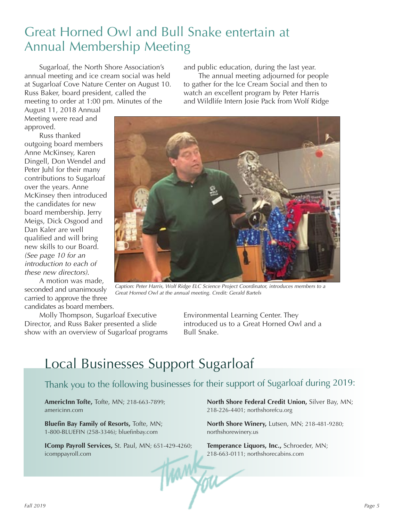# Great Horned Owl and Bull Snake entertain at Annual Membership Meeting

 Sugarloaf, the North Shore Association's annual meeting and ice cream social was held at Sugarloaf Cove Nature Center on August 10. Russ Baker, board president, called the meeting to order at 1:00 pm. Minutes of the

and public education, during the last year.

 The annual meeting adjourned for people to gather for the Ice Cream Social and then to watch an excellent program by Peter Harris and Wildlife Intern Josie Pack from Wolf Ridge

August 11, 2018 Annual Meeting were read and approved.

 Russ thanked outgoing board members Anne McKinsey, Karen Dingell, Don Wendel and Peter Juhl for their many contributions to Sugarloaf over the years. Anne McKinsey then introduced the candidates for new board membership. Jerry Meigs, Dick Osgood and Dan Kaler are well qualified and will bring new skills to our Board. (See page 10 for an introduction to each of these new directors).

 A motion was made, seconded and unanimously carried to approve the three candidates as board members.

 Molly Thompson, Sugarloaf Executive Director, and Russ Baker presented a slide show with an overview of Sugarloaf programs Environmental Learning Center. They introduced us to a Great Horned Owl and a Bull Snake.

# Local Businesses Support Sugarloaf

### Thank you to the following businesses for their support of Sugarloaf during 2019:

ham

**AmericInn Tofte,** Tofte, MN; 218-663-7899; americinn.com

**Bluefin Bay Family of Resorts,** Tofte, MN; 1-800-BLUEFIN (258-3346); bluefinbay.com

**IComp Payroll Services,** St. Paul, MN; 651-429-4260; icomppayroll.com

**North Shore Federal Credit Union,** Silver Bay, MN; 218-226-4401; northshorefcu.org

**North Shore Winery,** Lutsen, MN; 218-481-9280; northshorewinery.us

**Temperance Liquors, Inc.,** Schroeder, MN; 218-663-0111; northshorecabins.com

Great Horned Owl at the annual meeting. Credit: Gerald Bartels

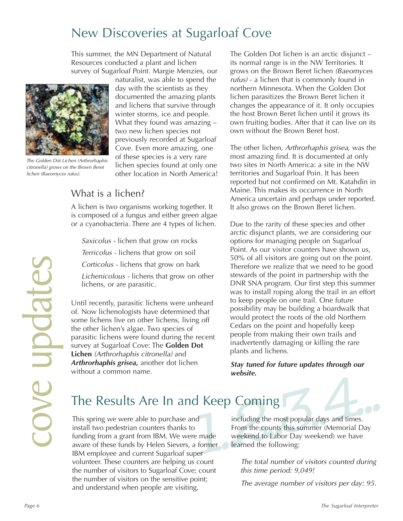# New Discoveries at Sugarloaf Cove

This summer, the MN Department of Natural Resources conducted a plant and lichen survey of Sugarloaf Point. Margie Menzies, our



The Golden Dot Lichen (Arthrorhaphis citronella) grows on the Brown Beret lichen (Baeomyces rufus).

naturalist, was able to spend the day with the scientists as they documented the amazing plants and lichens that survive through winter storms, ice and people. What they found was amazing – two new lichen species not previously recorded at Sugarloaf Cove. Even more amazing, one of these species is a very rare lichen species found at only one other location in North America!

### What is a lichen?

A lichen is two organisms working together. It is composed of a fungus and either green algae or a cyanobacteria. There are 4 types of lichen.

 Saxicolus - lichen that grow on rocks Terricolus - lichens that grow on soil Corticolus - lichens that grow on bark

 Lichenicolous - lichens that grow on other lichens, or are parasitic.

Until recently, parasitic lichens were unheard of. Now lichenologists have determined that some lichens live on other lichens, living off the other lichen's algae. Two species of parasitic lichens were found during the recent survey at Sugarloaf Cove: The **Golden Dot Lichen** (Arthrorhaphis citronella) and *Arthrorhaphis grisea,* another dot lichen without a common name.

The Golden Dot lichen is an arctic disjunct – its normal range is in the NW Territories. It grows on the Brown Beret lichen (Baeomyces rufus) - a lichen that is commonly found in northern Minnesota. When the Golden Dot lichen parasitizes the Brown Beret lichen it changes the appearance of it. It only occupies the host Brown Beret lichen until it grows its own fruiting bodies. After that it can live on its own without the Brown Beret host.

The other lichen, Arthrorhaphis grisea, was the most amazing find. It is documented at only two sites in North America: a site in the NW territories and Sugarloaf Poin. It has been reported but not confirmed on Mt. Katahdin in Maine. This makes its occurrence in North America uncertain and perhaps under reported. It also grows on the Brown Beret lichen.

Conticolus - lichens that grow on bark<br> *Page is a* a vertex the result we need to be good<br> *Hichens, or are parasitic.*<br> *Page 6* and value of streaming the rail of trail is a membership with the<br>
Until recently, parasiti Due to the rarity of these species and other arctic disjunct plants, we are considering our options for managing people on Sugarloaf Point. As our visitor counters have shown us, 50% of all visitors are going out on the point. Therefore we realize that we need to be good stewards of the point in partnership with the DNR SNA program. Our first step this summer was to install roping along the trail in an effort to keep people on one trail. One future possibility may be building a boardwalk that would protect the roots of the old Northern Cedars on the point and hopefully keep people from making their own trails and inadvertently damaging or killing the rare plants and lichens.

*Stay tuned for future updates through our website.* 

# The Results Are In and Keep Coming

This spring we were able to purchase and install two pedestrian counters thanks to funding from a grant from IBM. We were made aware of these funds by Helen Sievers, a former IBM employee and current Sugarloaf super volunteer. These counters are helping us count the number of visitors to Sugarloaf Cove; count the number of visitors on the sensitive point; and understand when people are visiting,

Keep Coming<br>
including the most popular days and times.<br>
From the counts this summer (Memorial Day<br>
made weekend to Labor Day weekend) we have<br>
former learned the following:<br>
er including the most popular days and times. From the counts this summer (Memorial Day weekend to Labor Day weekend) we have learned the following:

> The total number of visitors counted during this time period: 9,049!

> The average number of visitors per day: 95.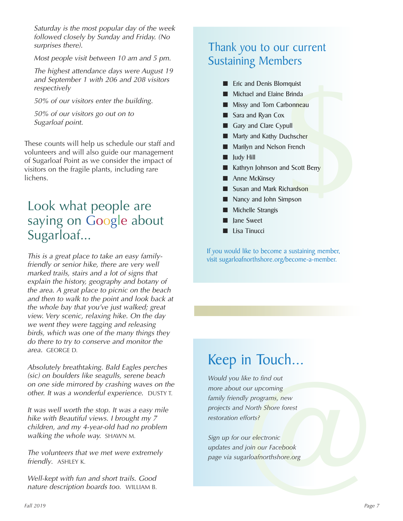Saturday is the most popular day of the week followed closely by Sunday and Friday. (No surprises there).

Most people visit between 10 am and 5 pm.

The highest attendance days were August 19 and September 1 with 206 and 208 visitors respectively

50% of our visitors enter the building.

50% of our visitors go out on to Sugarloaf point.

These counts will help us schedule our staff and volunteers and will also guide our management of Sugarloaf Point as we consider the impact of visitors on the fragile plants, including rare lichens.

## Look what people are saying on Google about Sugarloaf...

This is a great place to take an easy familyfriendly or senior hike, there are very well marked trails, stairs and a lot of signs that explain the history, geography and botany of the area. A great place to picnic on the beach and then to walk to the point and look back at the whole bay that you've just walked; great view. Very scenic, relaxing hike. On the day we went they were tagging and releasing birds, which was one of the many things they do there to try to conserve and monitor the area. GEORGE D.

Absolutely breathtaking. Bald Eagles perches (sic) on boulders like seagulls, serene beach on one side mirrored by crashing waves on the other. It was a wonderful experience. DUSTY T.

It was well worth the stop. It was a easy mile hike with Beautiful views. I brought my 7 children, and my 4-year-old had no problem walking the whole way. SHAWN M.

The volunteers that we met were extremely friendly. ASHLEY K.

Well-kept with fun and short trails. Good nature description boards too. WILLIAM B.

## Thank you to our current Sustaining Members

- Eric and Denis Blomquist
- Michael and Elaine Brinda
- Missy and Tom Carbonneau
- Sara and Ryan Cox
- Gary and Clare Cypull
- Marty and Kathy Duchscher
- Marilyn and Nelson French
- $\blacksquare$  Judy Hill
- Friendam<br>
Sinnand<br>
pull<br>
uchscher<br>
1 French<br>
nd Scott Berry<br>
chardson<br>
mpson Kathryn Johnson and Scott Berry
- $\blacksquare$  Anne McKinsey
- Susan and Mark Richardson
- Nancy and John Simpson
- Michelle Strangis
- **Jane Sweet**
- Lisa Tinucci

If you would like to become a sustaining member, visit sugarloafnorthshore.org/become-a-member.

# Keep in Touch...

et a programs, new<br>
North Shore forest<br>
forts?<br>
ur electronic<br>
ioin our Facebook<br>
urloafnorthshore.org<br>
Pag *Would you like to find out more about our upcoming family friendly programs, new projects and North Shore forest restoration efforts?* 

*Sign up for our electronic updates and join our Facebook page via sugarloafnorthshore.org*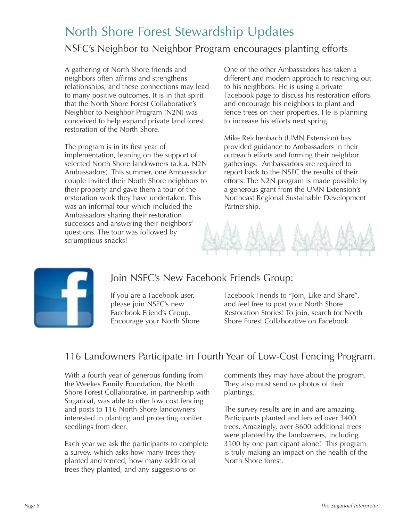# North Shore Forest Stewardship Updates

## NSFC's Neighbor to Neighbor Program encourages planting efforts

A gathering of North Shore friends and neighbors often affirms and strengthens relationships, and these connections may lead to many positive outcomes. It is in that spirit that the North Shore Forest Collaborative's Neighbor to Neighbor Program (N2N) was conceived to help expand private land forest restoration of the North Shore.

The program is in its first year of implementation, leaning on the support of selected North Shore landowners (a.k.a. N2N Ambassadors). This summer, one Ambassador couple invited their North Shore neighbors to their property and gave them a tour of the restoration work they have undertaken. This was an informal tour which included the Ambassadors sharing their restoration successes and answering their neighbors' questions. The tour was followed by scrumptious snacks!

One of the other Ambassadors has taken a different and modern approach to reaching out to his neighbors. He is using a private Facebook page to discuss his restoration efforts and encourage his neighbors to plant and fence trees on their properties. He is planning to increase his efforts next spring.

Mike Reichenbach (UMN Extension) has provided guidance to Ambassadors in their outreach efforts and forming their neighbor gatherings. Ambassadors are required to report back to the NSFC the results of their efforts. The N2N program is made possible by a generous grant from the UMN Extension's Northeast Regional Sustainable Development Partnership.





## Join NSFC's New Facebook Friends Group:

If you are a Facebook user, please join NSFC's new Facebook Friend's Group. Encourage your North Shore Facebook Friends to "Join, Like and Share", and feel free to post your North Shore Restoration Stories! To join, search for North Shore Forest Collaborative on Facebook.

### 116 Landowners Participate in Fourth Year of Low-Cost Fencing Program.

With a fourth year of generous funding from the Weekes Family Foundation, the North Shore Forest Collaborative, in partnership with Sugarloaf, was able to offer low cost fencing and posts to 116 North Shore landowners interested in planting and protecting conifer seedlings from deer.

Each year we ask the participants to complete a survey, which asks how many trees they planted and fenced, how many additional trees they planted, and any suggestions or

comments they may have about the program. They also must send us photos of their plantings.

The survey results are in and are amazing. Participants planted and fenced over 3400 trees. Amazingly, over 8600 additional trees were planted by the landowners, including 3100 by one participant alone! This program is truly making an impact on the health of the North Shore forest.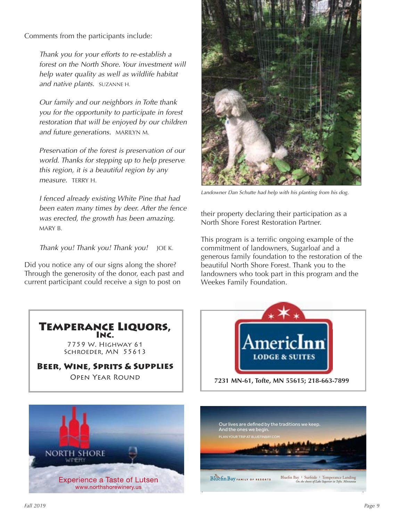Comments from the participants include:

 Thank you for your efforts to re-establish a forest on the North Shore. Your investment will help water quality as well as wildlife habitat and native plants. SUZANNE H.

 Our family and our neighbors in Tofte thank you for the opportunity to participate in forest restoration that will be enjoyed by our children and future generations. MARILYN M.

 Preservation of the forest is preservation of our world. Thanks for stepping up to help preserve this region, it is a beautiful region by any measure. TERRY H.

 I fenced already existing White Pine that had been eaten many times by deer. After the fence was erected, the growth has been amazing. MARY B.

Thank you! Thank you! Thank you! JOE K.

Did you notice any of our signs along the shore? Through the generosity of the donor, each past and current participant could receive a sign to post on



Landowner Dan Schutte had help with his planting from his dog.

their property declaring their participation as a North Shore Forest Restoration Partner.

This program is a terrific ongoing example of the commitment of landowners, Sugarloaf and a generous family foundation to the restoration of the beautiful North Shore Forest. Thank you to the landowners who took part in this program and the Weekes Family Foundation.







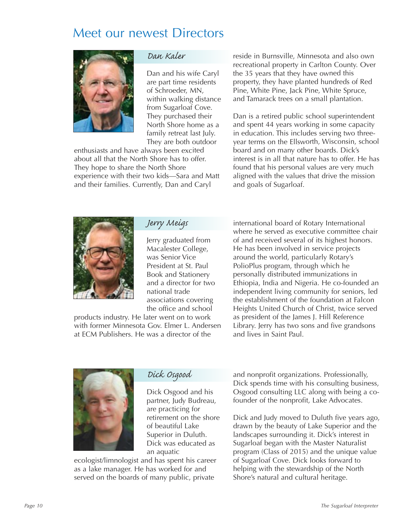## Meet our newest Directors



### Dan Kaler

Dan and his wife Caryl are part time residents of Schroeder, MN, within walking distance from Sugarloaf Cove. They purchased their North Shore home as a family retreat last July. They are both outdoor

enthusiasts and have always been excited about all that the North Shore has to offer. They hope to share the North Shore experience with their two kids—Sara and Matt and their families. Currently, Dan and Caryl

reside in Burnsville, Minnesota and also own recreational property in Carlton County. Over the 35 years that they have owned this property, they have planted hundreds of Red Pine, White Pine, Jack Pine, White Spruce, and Tamarack trees on a small plantation.

Dan is a retired public school superintendent and spent 44 years working in some capacity in education. This includes serving two threeyear terms on the Ellsworth, Wisconsin, school board and on many other boards. Dick's interest is in all that nature has to offer. He has found that his personal values are very much aligned with the values that drive the mission and goals of Sugarloaf.



### Jerry Meigs

Jerry graduated from Macalester College, was Senior Vice President at St. Paul Book and Stationery and a director for two national trade associations covering the office and school

products industry. He later went on to work with former Minnesota Gov. Elmer L. Andersen at ECM Publishers. He was a director of the

international board of Rotary International where he served as executive committee chair of and received several of its highest honors. He has been involved in service projects around the world, particularly Rotary's PolioPlus program, through which he personally distributed immunizations in Ethiopia, India and Nigeria. He co-founded an independent living community for seniors, led the establishment of the foundation at Falcon Heights United Church of Christ, twice served as president of the James J. Hill Reference Library. Jerry has two sons and five grandsons and lives in Saint Paul.



### Dick Osgood

Dick Osgood and his partner, Judy Budreau, are practicing for retirement on the shore of beautiful Lake Superior in Duluth. Dick was educated as an aquatic

ecologist/limnologist and has spent his career as a lake manager. He has worked for and served on the boards of many public, private

and nonprofit organizations. Professionally, Dick spends time with his consulting business, Osgood consulting LLC along with being a cofounder of the nonprofit, Lake Advocates.

Dick and Judy moved to Duluth five years ago, drawn by the beauty of Lake Superior and the landscapes surrounding it. Dick's interest in Sugarloaf began with the Master Naturalist program (Class of 2015) and the unique value of Sugarloaf Cove. Dick looks forward to helping with the stewardship of the North Shore's natural and cultural heritage.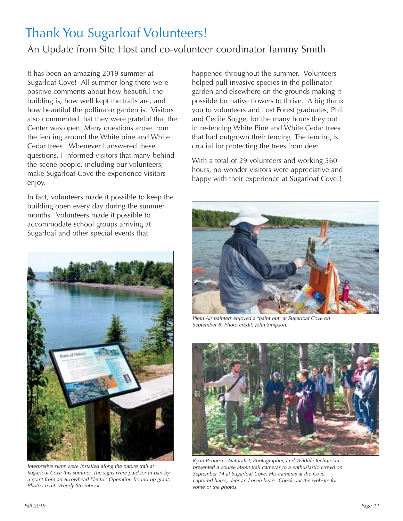# Thank You Sugarloaf Volunteers!

## An Update from Site Host and co-volunteer coordinator Tammy Smith

It has been an amazing 2019 summer at Sugarloaf Cove! All summer long there were positive comments about how beautiful the building is, how well kept the trails are, and how beautiful the pollinator garden is. Visitors also commented that they were grateful that the Center was open. Many questions arose from the fencing around the White pine and White Cedar trees. Whenever I answered these questions, I informed visitors that many behindthe-scene people, including our volunteers, make Sugarloaf Cove the experience visitors enjoy.

In fact, volunteers made it possible to keep the building open every day during the summer months. Volunteers made it possible to accommodate school groups arriving at Sugarloaf and other special events that



Interpretive signs were installed along the nature trail at Sugarloaf Cove this summer. The signs were paid for in part by a grant from an Arrowhead Electric Operation Round-up grant. Photo credit: Wendy Strombeck

happened throughout the summer. Volunteers helped pull invasive species in the pollinator garden and elsewhere on the grounds making it possible for native flowers to thrive. A big thank you to volunteers and Lost Forest graduates, Phil and Cecile Sogge, for the many hours they put in re-fencing White Pine and White Cedar trees that had outgrown their fencing. The fencing is crucial for protecting the trees from deer.

With a total of 29 volunteers and working 560 hours, no wonder visitors were appreciative and happy with their experience at Sugarloaf Cove!!



Plein Air painters enjoyed a "paint out" at Sugarloaf Cove on September 8. Photo credit: John Simpson.



Ryan Pennesi - Naturalist, Photographer, and Wildlife technician presented a course about trail cameras to a enthusiastic crowd on September 14 at Sugarloaf Cove. His cameras at the Cove captured hares, deer and even bears. Check out the website for some of the photos.